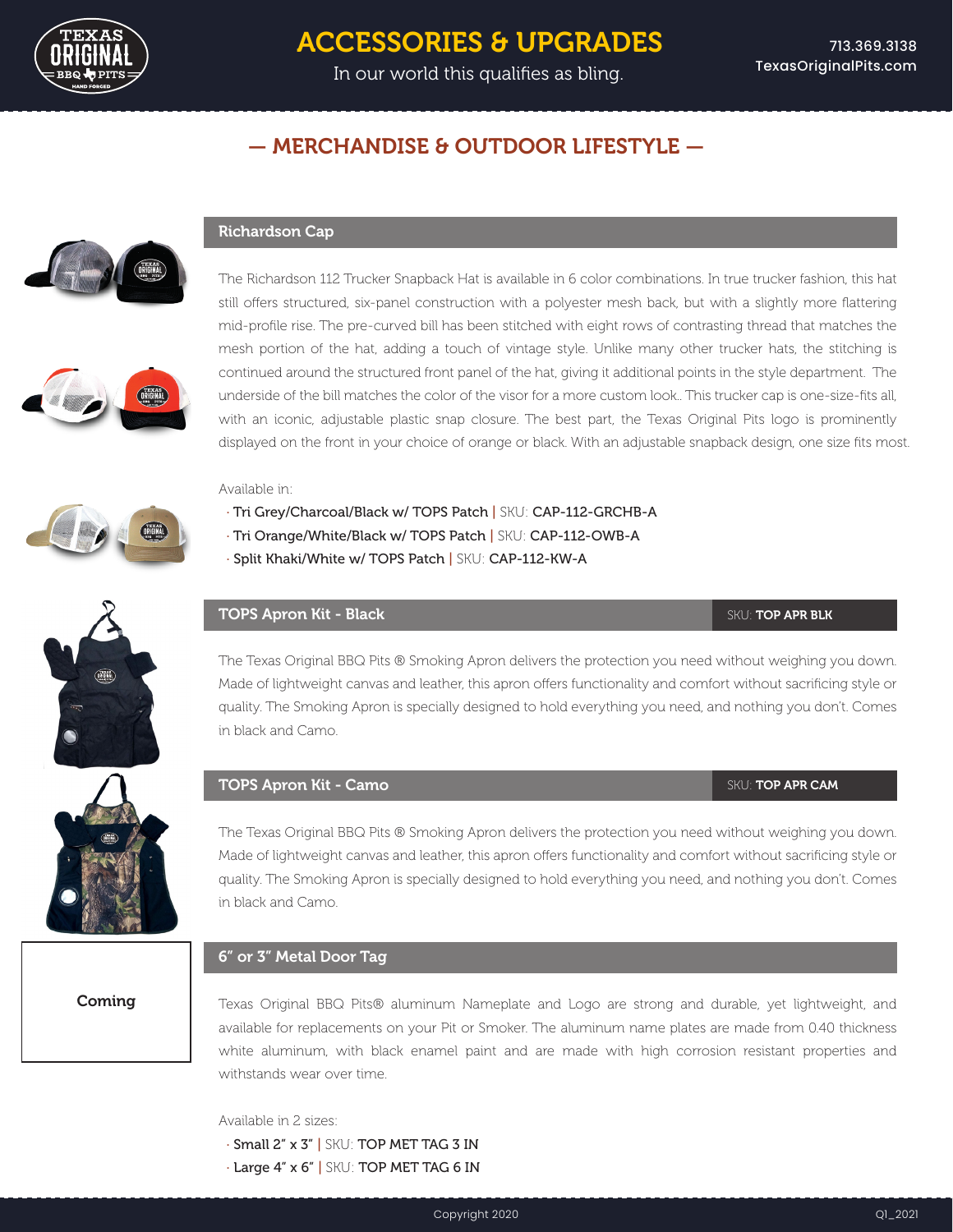

# ACCESSORIES & UPGRADES

In our world this qualifies as bling.

## — MERCHANDISE & OUTDOOR LIFESTYLE —





The Richardson 112 Trucker Snapback Hat is available in 6 color combinations. In true trucker fashion, this hat still offers structured, six-panel construction with a polyester mesh back, but with a slightly more flattering mid-profile rise. The pre-curved bill has been stitched with eight rows of contrasting thread that matches the mesh portion of the hat, adding a touch of vintage style. Unlike many other trucker hats, the stitching is continued around the structured front panel of the hat, giving it additional points in the style department. The underside of the bill matches the color of the visor for a more custom look.. This trucker cap is one-size-fits all, with an iconic, adjustable plastic snap closure. The best part, the Texas Original Pits logo is prominently displayed on the front in your choice of orange or black. With an adjustable snapback design, one size fits most.

### Available in:

Richardson Cap

- · Tri Grey/Charcoal/Black w/ TOPS Patch | SKU: CAP-112-GRCHB-A
- · Tri Orange/White/Black w/ TOPS Patch | SKU: CAP-112-OWB-A
- · Split Khaki/White w/ TOPS Patch | SKU: CAP-112-KW-A

## **TOPS Apron Kit - Black SKU: TOP APR BLK**

The Texas Original BBQ Pits ® Smoking Apron delivers the protection you need without weighing you down. Made of lightweight canvas and leather, this apron offers functionality and comfort without sacrificing style or quality. The Smoking Apron is specially designed to hold everything you need, and nothing you don't. Comes in black and Camo.

### **TOPS Apron Kit - Camo** SKU: TOP APR CAM

The Texas Original BBQ Pits ® Smoking Apron delivers the protection you need without weighing you down. Made of lightweight canvas and leather, this apron offers functionality and comfort without sacrificing style or quality. The Smoking Apron is specially designed to hold everything you need, and nothing you don't. Comes in black and Camo.

## 6" or 3" Metal Door Tag

Coming

Texas Original BBQ Pits® aluminum Nameplate and Logo are strong and durable, yet lightweight, and available for replacements on your Pit or Smoker. The aluminum name plates are made from 0.40 thickness white aluminum, with black enamel paint and are made with high corrosion resistant properties and withstands wear over time.

Available in 2 sizes:

- · Small 2" x 3" | SKU: TOP MET TAG 3 IN
- · Large 4" x 6" | SKU: TOP MET TAG 6 IN

Copyright 2020 Q1\_2021